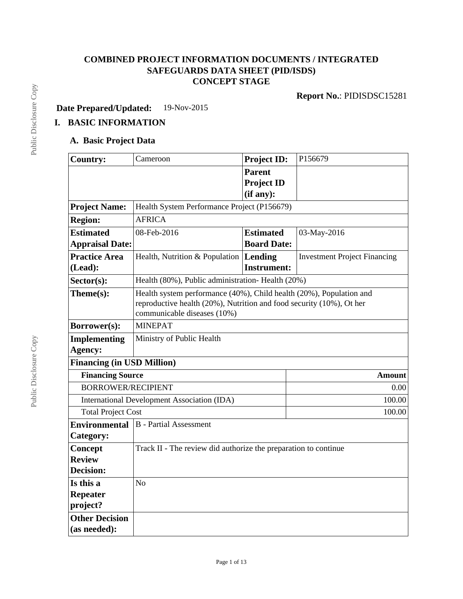# **COMBINED PROJECT INFORMATION DOCUMENTS / INTEGRATED SAFEGUARDS DATA SHEET (PID/ISDS) CONCEPT STAGE**

**Report No.**: PIDISDSC15281

**Date Prepared/Updated:** 19-Nov-2015

# **I. BASIC INFORMATION**

## **A. Basic Project Data**

| <b>Country:</b>                   | Cameroon                                                                                            | <b>Project ID:</b> | P156679                             |  |  |
|-----------------------------------|-----------------------------------------------------------------------------------------------------|--------------------|-------------------------------------|--|--|
|                                   |                                                                                                     | <b>Parent</b>      |                                     |  |  |
|                                   |                                                                                                     | <b>Project ID</b>  |                                     |  |  |
|                                   |                                                                                                     | (if any):          |                                     |  |  |
| <b>Project Name:</b>              | Health System Performance Project (P156679)                                                         |                    |                                     |  |  |
| <b>Region:</b>                    | <b>AFRICA</b>                                                                                       |                    |                                     |  |  |
| <b>Estimated</b>                  | 08-Feb-2016                                                                                         | <b>Estimated</b>   | 03-May-2016                         |  |  |
| <b>Appraisal Date:</b>            |                                                                                                     | <b>Board Date:</b> |                                     |  |  |
| <b>Practice Area</b>              | Health, Nutrition & Population $ $ <b>Lending</b>                                                   |                    | <b>Investment Project Financing</b> |  |  |
| (Lead):                           |                                                                                                     | <b>Instrument:</b> |                                     |  |  |
| $Sector(s)$ :                     | Health (80%), Public administration-Health (20%)                                                    |                    |                                     |  |  |
| Theme(s):                         | Health system performance (40%), Child health (20%), Population and                                 |                    |                                     |  |  |
|                                   | reproductive health (20%), Nutrition and food security (10%), Ot her<br>communicable diseases (10%) |                    |                                     |  |  |
| Borrower(s):                      | <b>MINEPAT</b>                                                                                      |                    |                                     |  |  |
| <b>Implementing</b>               | Ministry of Public Health                                                                           |                    |                                     |  |  |
| Agency:                           |                                                                                                     |                    |                                     |  |  |
| <b>Financing (in USD Million)</b> |                                                                                                     |                    |                                     |  |  |
| <b>Financing Source</b>           |                                                                                                     |                    | <b>Amount</b>                       |  |  |
| <b>BORROWER/RECIPIENT</b>         |                                                                                                     |                    | 0.00                                |  |  |
|                                   | International Development Association (IDA)                                                         |                    | 100.00                              |  |  |
| <b>Total Project Cost</b>         |                                                                                                     |                    | 100.00                              |  |  |
| <b>Environmental</b>              | <b>B</b> - Partial Assessment                                                                       |                    |                                     |  |  |
| Category:                         |                                                                                                     |                    |                                     |  |  |
| Concept                           | Track II - The review did authorize the preparation to continue                                     |                    |                                     |  |  |
| <b>Review</b>                     |                                                                                                     |                    |                                     |  |  |
| <b>Decision:</b>                  |                                                                                                     |                    |                                     |  |  |
| Is this a                         | N <sub>o</sub>                                                                                      |                    |                                     |  |  |
| <b>Repeater</b>                   |                                                                                                     |                    |                                     |  |  |
| project?                          |                                                                                                     |                    |                                     |  |  |
| <b>Other Decision</b>             |                                                                                                     |                    |                                     |  |  |
| (as needed):                      |                                                                                                     |                    |                                     |  |  |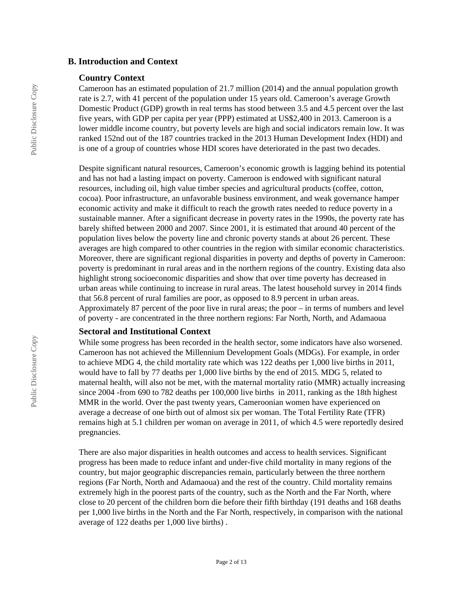#### **B. Introduction and Context**

#### **Country Context**

Cameroon has an estimated population of 21.7 million (2014) and the annual population growth rate is 2.7, with 41 percent of the population under 15 years old. Cameroon's average Growth Domestic Product (GDP) growth in real terms has stood between 3.5 and 4.5 percent over the last five years, with GDP per capita per year (PPP) estimated at US\$2,400 in 2013. Cameroon is a lower middle income country, but poverty levels are high and social indicators remain low. It was ranked 152nd out of the 187 countries tracked in the 2013 Human Development Index (HDI) and is one of a group of countries whose HDI scores have deteriorated in the past two decades.

Despite significant natural resources, Cameroon's economic growth is lagging behind its potential and has not had a lasting impact on poverty. Cameroon is endowed with significant natural resources, including oil, high value timber species and agricultural products (coffee, cotton, cocoa). Poor infrastructure, an unfavorable business environment, and weak governance hamper economic activity and make it difficult to reach the growth rates needed to reduce poverty in a sustainable manner. After a significant decrease in poverty rates in the 1990s, the poverty rate has barely shifted between 2000 and 2007. Since 2001, it is estimated that around 40 percent of the population lives below the poverty line and chronic poverty stands at about 26 percent. These averages are high compared to other countries in the region with similar economic characteristics. Moreover, there are significant regional disparities in poverty and depths of poverty in Cameroon: poverty is predominant in rural areas and in the northern regions of the country. Existing data also highlight strong socioeconomic disparities and show that over time poverty has decreased in urban areas while continuing to increase in rural areas. The latest household survey in 2014 finds that 56.8 percent of rural families are poor, as opposed to 8.9 percent in urban areas. Approximately 87 percent of the poor live in rural areas; the poor – in terms of numbers and level of poverty - are concentrated in the three northern regions: Far North, North, and Adamaoua

#### **Sectoral and Institutional Context**

While some progress has been recorded in the health sector, some indicators have also worsened. Cameroon has not achieved the Millennium Development Goals (MDGs). For example, in order to achieve MDG 4, the child mortality rate which was 122 deaths per 1,000 live births in 2011, would have to fall by 77 deaths per 1,000 live births by the end of 2015. MDG 5, related to maternal health, will also not be met, with the maternal mortality ratio (MMR) actually increasing since 2004 -from 690 to 782 deaths per 100,000 live births in 2011, ranking as the 18th highest MMR in the world. Over the past twenty years, Cameroonian women have experienced on average a decrease of one birth out of almost six per woman. The Total Fertility Rate (TFR) remains high at 5.1 children per woman on average in 2011, of which 4.5 were reportedly desired pregnancies.

There are also major disparities in health outcomes and access to health services. Significant progress has been made to reduce infant and under-five child mortality in many regions of the country, but major geographic discrepancies remain, particularly between the three northern regions (Far North, North and Adamaoua) and the rest of the country. Child mortality remains extremely high in the poorest parts of the country, such as the North and the Far North, where close to 20 percent of the children born die before their fifth birthday (191 deaths and 168 deaths per 1,000 live births in the North and the Far North, respectively, in comparison with the national average of 122 deaths per 1,000 live births) .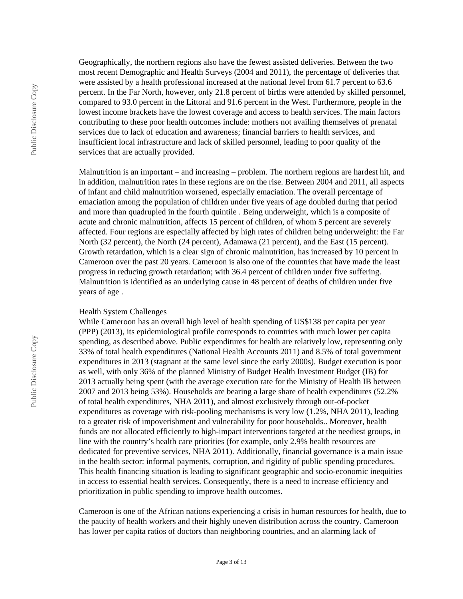Public Disclosure Copy Public Disclosure Copy Public Disclosure Copy Geographically, the northern regions also have the fewest assisted deliveries. Between the two most recent Demographic and Health Surveys (2004 and 2011), the percentage of deliveries that were assisted by a health professional increased at the national level from 61.7 percent to 63.6 percent. In the Far North, however, only 21.8 percent of births were attended by skilled personnel, compared to 93.0 percent in the Littoral and 91.6 percent in the West. Furthermore, people in the lowest income brackets have the lowest coverage and access to health services. The main factors contributing to these poor health outcomes include: mothers not availing themselves of prenatal services due to lack of education and awareness; financial barriers to health services, and insufficient local infrastructure and lack of skilled personnel, leading to poor quality of the services that are actually provided.

Malnutrition is an important – and increasing – problem. The northern regions are hardest hit, and in addition, malnutrition rates in these regions are on the rise. Between 2004 and 2011, all aspects of infant and child malnutrition worsened, especially emaciation. The overall percentage of emaciation among the population of children under five years of age doubled during that period and more than quadrupled in the fourth quintile . Being underweight, which is a composite of acute and chronic malnutrition, affects 15 percent of children, of whom 5 percent are severely affected. Four regions are especially affected by high rates of children being underweight: the Far North (32 percent), the North (24 percent), Adamawa (21 percent), and the East (15 percent). Growth retardation, which is a clear sign of chronic malnutrition, has increased by 10 percent in Cameroon over the past 20 years. Cameroon is also one of the countries that have made the least progress in reducing growth retardation; with 36.4 percent of children under five suffering. Malnutrition is identified as an underlying cause in 48 percent of deaths of children under five years of age .

#### Health System Challenges

While Cameroon has an overall high level of health spending of US\$138 per capita per year (PPP) (2013), its epidemiological profile corresponds to countries with much lower per capita spending, as described above. Public expenditures for health are relatively low, representing only 33% of total health expenditures (National Health Accounts 2011) and 8.5% of total government expenditures in 2013 (stagnant at the same level since the early 2000s). Budget execution is poor as well, with only 36% of the planned Ministry of Budget Health Investment Budget (IB) for 2013 actually being spent (with the average execution rate for the Ministry of Health IB between 2007 and 2013 being 53%). Households are bearing a large share of health expenditures (52.2% of total health expenditures, NHA 2011), and almost exclusively through out-of-pocket expenditures as coverage with risk-pooling mechanisms is very low (1.2%, NHA 2011), leading to a greater risk of impoverishment and vulnerability for poor households.. Moreover, health funds are not allocated efficiently to high-impact interventions targeted at the neediest groups, in line with the country's health care priorities (for example, only 2.9% health resources are dedicated for preventive services, NHA 2011). Additionally, financial governance is a main issue in the health sector: informal payments, corruption, and rigidity of public spending procedures. This health financing situation is leading to significant geographic and socio-economic inequities in access to essential health services. Consequently, there is a need to increase efficiency and prioritization in public spending to improve health outcomes.

Cameroon is one of the African nations experiencing a crisis in human resources for health, due to the paucity of health workers and their highly uneven distribution across the country. Cameroon has lower per capita ratios of doctors than neighboring countries, and an alarming lack of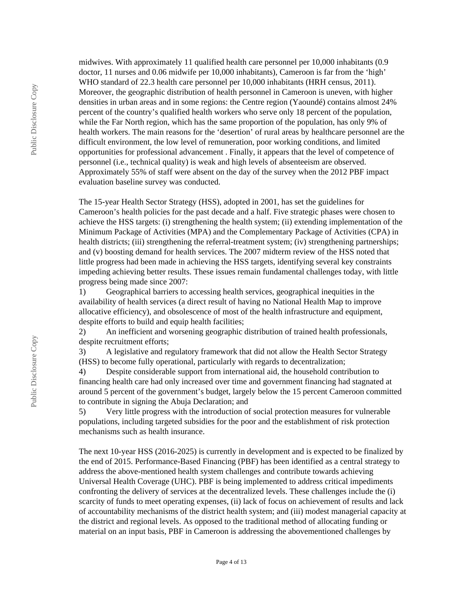midwives. With approximately 11 qualified health care personnel per 10,000 inhabitants (0.9 doctor, 11 nurses and 0.06 midwife per 10,000 inhabitants), Cameroon is far from the 'high' WHO standard of 22.3 health care personnel per 10,000 inhabitants (HRH census, 2011). Moreover, the geographic distribution of health personnel in Cameroon is uneven, with higher densities in urban areas and in some regions: the Centre region (Yaoundé) contains almost 24% percent of the country's qualified health workers who serve only 18 percent of the population, while the Far North region, which has the same proportion of the population, has only 9% of health workers. The main reasons for the 'desertion' of rural areas by healthcare personnel are the difficult environment, the low level of remuneration, poor working conditions, and limited opportunities for professional advancement . Finally, it appears that the level of competence of personnel (i.e., technical quality) is weak and high levels of absenteeism are observed. Approximately 55% of staff were absent on the day of the survey when the 2012 PBF impact evaluation baseline survey was conducted.

The 15-year Health Sector Strategy (HSS), adopted in 2001, has set the guidelines for Cameroon's health policies for the past decade and a half. Five strategic phases were chosen to achieve the HSS targets: (i) strengthening the health system; (ii) extending implementation of the Minimum Package of Activities (MPA) and the Complementary Package of Activities (CPA) in health districts; (iii) strengthening the referral-treatment system; (iv) strengthening partnerships; and (v) boosting demand for health services. The 2007 midterm review of the HSS noted that little progress had been made in achieving the HSS targets, identifying several key constraints impeding achieving better results. These issues remain fundamental challenges today, with little progress being made since 2007:

1) Geographical barriers to accessing health services, geographical inequities in the availability of health services (a direct result of having no National Health Map to improve allocative efficiency), and obsolescence of most of the health infrastructure and equipment, despite efforts to build and equip health facilities;

2) An inefficient and worsening geographic distribution of trained health professionals, despite recruitment efforts;

3) A legislative and regulatory framework that did not allow the Health Sector Strategy (HSS) to become fully operational, particularly with regards to decentralization;

4) Despite considerable support from international aid, the household contribution to financing health care had only increased over time and government financing had stagnated at around 5 percent of the government's budget, largely below the 15 percent Cameroon committed to contribute in signing the Abuja Declaration; and

5) Very little progress with the introduction of social protection measures for vulnerable populations, including targeted subsidies for the poor and the establishment of risk protection mechanisms such as health insurance.

The next 10-year HSS (2016-2025) is currently in development and is expected to be finalized by the end of 2015. Performance-Based Financing (PBF) has been identified as a central strategy to address the above-mentioned health system challenges and contribute towards achieving Universal Health Coverage (UHC). PBF is being implemented to address critical impediments confronting the delivery of services at the decentralized levels. These challenges include the (i) scarcity of funds to meet operating expenses, (ii) lack of focus on achievement of results and lack of accountability mechanisms of the district health system; and (iii) modest managerial capacity at the district and regional levels. As opposed to the traditional method of allocating funding or material on an input basis, PBF in Cameroon is addressing the abovementioned challenges by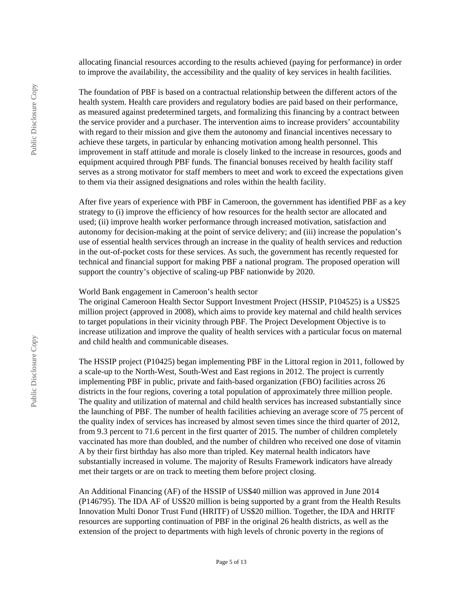allocating financial resources according to the results achieved (paying for performance) in order to improve the availability, the accessibility and the quality of key services in health facilities.

The foundation of PBF is based on a contractual relationship between the different actors of the health system. Health care providers and regulatory bodies are paid based on their performance, as measured against predetermined targets, and formalizing this financing by a contract between the service provider and a purchaser. The intervention aims to increase providers' accountability with regard to their mission and give them the autonomy and financial incentives necessary to achieve these targets, in particular by enhancing motivation among health personnel. This improvement in staff attitude and morale is closely linked to the increase in resources, goods and equipment acquired through PBF funds. The financial bonuses received by health facility staff serves as a strong motivator for staff members to meet and work to exceed the expectations given to them via their assigned designations and roles within the health facility.

After five years of experience with PBF in Cameroon, the government has identified PBF as a key strategy to (i) improve the efficiency of how resources for the health sector are allocated and used; (ii) improve health worker performance through increased motivation, satisfaction and autonomy for decision-making at the point of service delivery; and (iii) increase the population's use of essential health services through an increase in the quality of health services and reduction in the out-of-pocket costs for these services. As such, the government has recently requested for technical and financial support for making PBF a national program. The proposed operation will support the country's objective of scaling-up PBF nationwide by 2020.

#### World Bank engagement in Cameroon's health sector

The original Cameroon Health Sector Support Investment Project (HSSIP, P104525) is a US\$25 million project (approved in 2008), which aims to provide key maternal and child health services to target populations in their vicinity through PBF. The Project Development Objective is to increase utilization and improve the quality of health services with a particular focus on maternal and child health and communicable diseases.

The HSSIP project (P10425) began implementing PBF in the Littoral region in 2011, followed by a scale-up to the North-West, South-West and East regions in 2012. The project is currently implementing PBF in public, private and faith-based organization (FBO) facilities across 26 districts in the four regions, covering a total population of approximately three million people. The quality and utilization of maternal and child health services has increased substantially since the launching of PBF. The number of health facilities achieving an average score of 75 percent of the quality index of services has increased by almost seven times since the third quarter of 2012, from 9.3 percent to 71.6 percent in the first quarter of 2015. The number of children completely vaccinated has more than doubled, and the number of children who received one dose of vitamin A by their first birthday has also more than tripled. Key maternal health indicators have substantially increased in volume. The majority of Results Framework indicators have already met their targets or are on track to meeting them before project closing.

An Additional Financing (AF) of the HSSIP of US\$40 million was approved in June 2014 (P146795). The IDA AF of US\$20 million is being supported by a grant from the Health Results Innovation Multi Donor Trust Fund (HRITF) of US\$20 million. Together, the IDA and HRITF resources are supporting continuation of PBF in the original 26 health districts, as well as the extension of the project to departments with high levels of chronic poverty in the regions of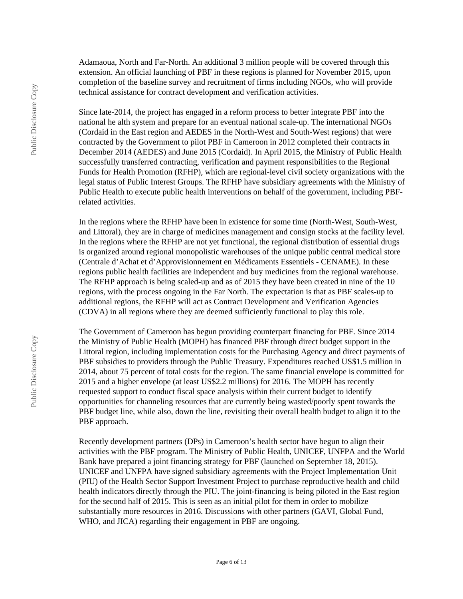Adamaoua, North and Far-North. An additional 3 million people will be covered through this extension. An official launching of PBF in these regions is planned for November 2015, upon completion of the baseline survey and recruitment of firms including NGOs, who will provide technical assistance for contract development and verification activities.

Since late-2014, the project has engaged in a reform process to better integrate PBF into the national he alth system and prepare for an eventual national scale-up. The international NGOs (Cordaid in the East region and AEDES in the North-West and South-West regions) that were contracted by the Government to pilot PBF in Cameroon in 2012 completed their contracts in December 2014 (AEDES) and June 2015 (Cordaid). In April 2015, the Ministry of Public Health successfully transferred contracting, verification and payment responsibilities to the Regional Funds for Health Promotion (RFHP), which are regional-level civil society organizations with the legal status of Public Interest Groups. The RFHP have subsidiary agreements with the Ministry of Public Health to execute public health interventions on behalf of the government, including PBFrelated activities.

In the regions where the RFHP have been in existence for some time (North-West, South-West, and Littoral), they are in charge of medicines management and consign stocks at the facility level. In the regions where the RFHP are not yet functional, the regional distribution of essential drugs is organized around regional monopolistic warehouses of the unique public central medical store (Centrale d'Achat et d'Approvisionnement en Médicaments Essentiels - CENAME). In these regions public health facilities are independent and buy medicines from the regional warehouse. The RFHP approach is being scaled-up and as of 2015 they have been created in nine of the 10 regions, with the process ongoing in the Far North. The expectation is that as PBF scales-up to additional regions, the RFHP will act as Contract Development and Verification Agencies (CDVA) in all regions where they are deemed sufficiently functional to play this role.

The Government of Cameroon has begun providing counterpart financing for PBF. Since 2014 the Ministry of Public Health (MOPH) has financed PBF through direct budget support in the Littoral region, including implementation costs for the Purchasing Agency and direct payments of PBF subsidies to providers through the Public Treasury. Expenditures reached US\$1.5 million in 2014, about 75 percent of total costs for the region. The same financial envelope is committed for 2015 and a higher envelope (at least US\$2.2 millions) for 2016. The MOPH has recently requested support to conduct fiscal space analysis within their current budget to identify opportunities for channeling resources that are currently being wasted/poorly spent towards the PBF budget line, while also, down the line, revisiting their overall health budget to align it to the PBF approach.

Recently development partners (DPs) in Cameroon's health sector have begun to align their activities with the PBF program. The Ministry of Public Health, UNICEF, UNFPA and the World Bank have prepared a joint financing strategy for PBF (launched on September 18, 2015). UNICEF and UNFPA have signed subsidiary agreements with the Project Implementation Unit (PIU) of the Health Sector Support Investment Project to purchase reproductive health and child health indicators directly through the PIU. The joint-financing is being piloted in the East region for the second half of 2015. This is seen as an initial pilot for them in order to mobilize substantially more resources in 2016. Discussions with other partners (GAVI, Global Fund, WHO, and JICA) regarding their engagement in PBF are ongoing.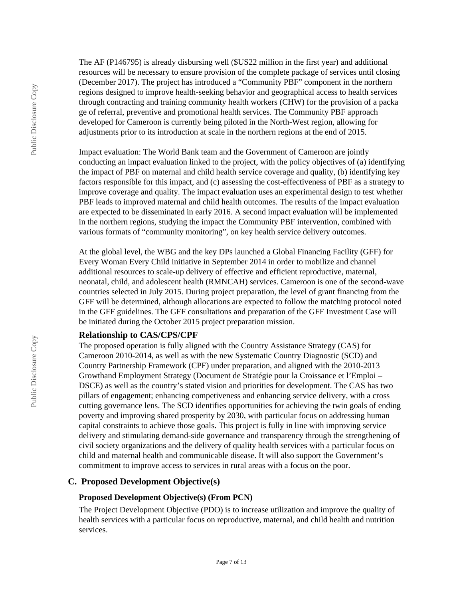The AF (P146795) is already disbursing well (\$US22 million in the first year) and additional resources will be necessary to ensure provision of the complete package of services until closing (December 2017). The project has introduced a "Community PBF" component in the northern regions designed to improve health-seeking behavior and geographical access to health services through contracting and training community health workers (CHW) for the provision of a packa ge of referral, preventive and promotional health services. The Community PBF approach developed for Cameroon is currently being piloted in the North-West region, allowing for adjustments prior to its introduction at scale in the northern regions at the end of 2015.

Impact evaluation: The World Bank team and the Government of Cameroon are jointly conducting an impact evaluation linked to the project, with the policy objectives of (a) identifying the impact of PBF on maternal and child health service coverage and quality, (b) identifying key factors responsible for this impact, and (c) assessing the cost-effectiveness of PBF as a strategy to improve coverage and quality. The impact evaluation uses an experimental design to test whether PBF leads to improved maternal and child health outcomes. The results of the impact evaluation are expected to be disseminated in early 2016. A second impact evaluation will be implemented in the northern regions, studying the impact the Community PBF intervention, combined with various formats of "community monitoring", on key health service delivery outcomes.

At the global level, the WBG and the key DPs launched a Global Financing Facility (GFF) for Every Woman Every Child initiative in September 2014 in order to mobilize and channel additional resources to scale-up delivery of effective and efficient reproductive, maternal, neonatal, child, and adolescent health (RMNCAH) services. Cameroon is one of the second-wave countries selected in July 2015. During project preparation, the level of grant financing from the GFF will be determined, although allocations are expected to follow the matching protocol noted in the GFF guidelines. The GFF consultations and preparation of the GFF Investment Case will be initiated during the October 2015 project preparation mission.

#### **Relationship to CAS/CPS/CPF**

The proposed operation is fully aligned with the Country Assistance Strategy (CAS) for Cameroon 2010-2014, as well as with the new Systematic Country Diagnostic (SCD) and Country Partnership Framework (CPF) under preparation, and aligned with the 2010-2013 Growthand Employment Strategy (Document de Stratégie pour la Croissance et l'Emploi – DSCE) as well as the country's stated vision and priorities for development. The CAS has two pillars of engagement; enhancing competiveness and enhancing service delivery, with a cross cutting governance lens. The SCD identifies opportunities for achieving the twin goals of ending poverty and improving shared prosperity by 2030, with particular focus on addressing human capital constraints to achieve those goals. This project is fully in line with improving service delivery and stimulating demand-side governance and transparency through the strengthening of civil society organizations and the delivery of quality health services with a particular focus on child and maternal health and communicable disease. It will also support the Government's commitment to improve access to services in rural areas with a focus on the poor.

#### **C. Proposed Development Objective(s)**

#### **Proposed Development Objective(s) (From PCN)**

The Project Development Objective (PDO) is to increase utilization and improve the quality of health services with a particular focus on reproductive, maternal, and child health and nutrition services.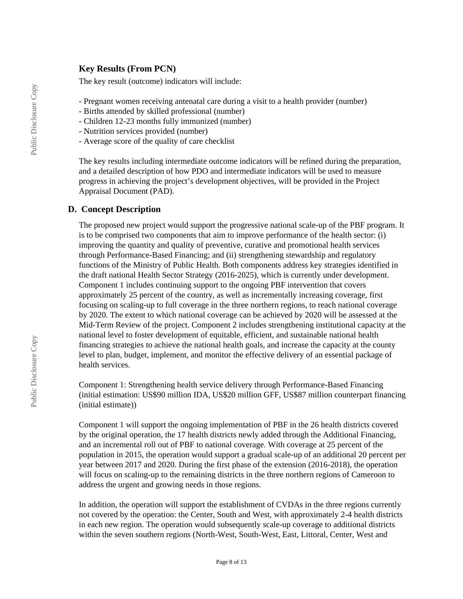## **Key Results (From PCN)**

The key result (outcome) indicators will include:

- Pregnant women receiving antenatal care during a visit to a health provider (number)
- Births attended by skilled professional (number)
- Children 12-23 months fully immunized (number)
- Nutrition services provided (number)
- Average score of the quality of care checklist

The key results including intermediate outcome indicators will be refined during the preparation, and a detailed description of how PDO and intermediate indicators will be used to measure progress in achieving the project's development objectives, will be provided in the Project Appraisal Document (PAD).

## **D. Concept Description**

The proposed new project would support the progressive national scale-up of the PBF program. It is to be comprised two components that aim to improve performance of the health sector: (i) improving the quantity and quality of preventive, curative and promotional health services through Performance-Based Financing; and (ii) strengthening stewardship and regulatory functions of the Ministry of Public Health. Both components address key strategies identified in the draft national Health Sector Strategy (2016-2025), which is currently under development. Component 1 includes continuing support to the ongoing PBF intervention that covers approximately 25 percent of the country, as well as incrementally increasing coverage, first focusing on scaling-up to full coverage in the three northern regions, to reach national coverage by 2020. The extent to which national coverage can be achieved by 2020 will be assessed at the Mid-Term Review of the project. Component 2 includes strengthening institutional capacity at the national level to foster development of equitable, efficient, and sustainable national health financing strategies to achieve the national health goals, and increase the capacity at the county level to plan, budget, implement, and monitor the effective delivery of an essential package of health services.

Component 1: Strengthening health service delivery through Performance-Based Financing (initial estimation: US\$90 million IDA, US\$20 million GFF, US\$87 million counterpart financing (initial estimate))

Component 1 will support the ongoing implementation of PBF in the 26 health districts covered by the original operation, the 17 health districts newly added through the Additional Financing, and an incremental roll out of PBF to national coverage. With coverage at 25 percent of the population in 2015, the operation would support a gradual scale-up of an additional 20 percent per year between 2017 and 2020. During the first phase of the extension (2016-2018), the operation will focus on scaling-up to the remaining districts in the three northern regions of Cameroon to address the urgent and growing needs in those regions.

In addition, the operation will support the establishment of CVDAs in the three regions currently not covered by the operation: the Center, South and West, with approximately 2-4 health districts in each new region. The operation would subsequently scale-up coverage to additional districts within the seven southern regions (North-West, South-West, East, Littoral, Center, West and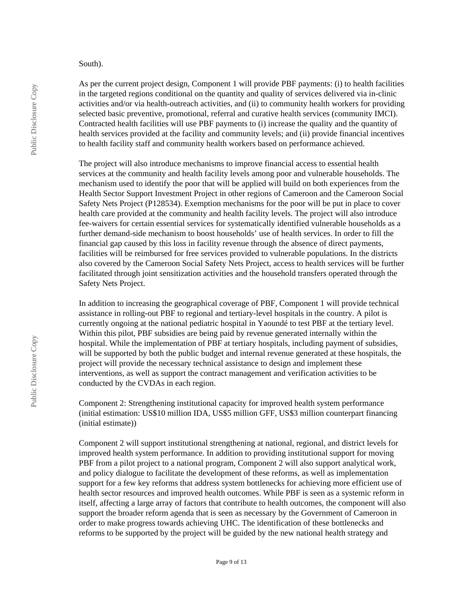#### South).

As per the current project design, Component 1 will provide PBF payments: (i) to health facilities in the targeted regions conditional on the quantity and quality of services delivered via in-clinic activities and/or via health-outreach activities, and (ii) to community health workers for providing selected basic preventive, promotional, referral and curative health services (community IMCI). Contracted health facilities will use PBF payments to (i) increase the quality and the quantity of health services provided at the facility and community levels; and (ii) provide financial incentives to health facility staff and community health workers based on performance achieved.

The project will also introduce mechanisms to improve financial access to essential health services at the community and health facility levels among poor and vulnerable households. The mechanism used to identify the poor that will be applied will build on both experiences from the Health Sector Support Investment Project in other regions of Cameroon and the Cameroon Social Safety Nets Project (P128534). Exemption mechanisms for the poor will be put in place to cover health care provided at the community and health facility levels. The project will also introduce fee-waivers for certain essential services for systematically identified vulnerable households as a further demand-side mechanism to boost households' use of health services. In order to fill the financial gap caused by this loss in facility revenue through the absence of direct payments, facilities will be reimbursed for free services provided to vulnerable populations. In the districts also covered by the Cameroon Social Safety Nets Project, access to health services will be further facilitated through joint sensitization activities and the household transfers operated through the Safety Nets Project.

In addition to increasing the geographical coverage of PBF, Component 1 will provide technical assistance in rolling-out PBF to regional and tertiary-level hospitals in the country. A pilot is currently ongoing at the national pediatric hospital in Yaoundé to test PBF at the tertiary level. Within this pilot, PBF subsidies are being paid by revenue generated internally within the hospital. While the implementation of PBF at tertiary hospitals, including payment of subsidies, will be supported by both the public budget and internal revenue generated at these hospitals, the project will provide the necessary technical assistance to design and implement these interventions, as well as support the contract management and verification activities to be conducted by the CVDAs in each region.

Component 2: Strengthening institutional capacity for improved health system performance (initial estimation: US\$10 million IDA, US\$5 million GFF, US\$3 million counterpart financing (initial estimate))

Component 2 will support institutional strengthening at national, regional, and district levels for improved health system performance. In addition to providing institutional support for moving PBF from a pilot project to a national program, Component 2 will also support analytical work, and policy dialogue to facilitate the development of these reforms, as well as implementation support for a few key reforms that address system bottlenecks for achieving more efficient use of health sector resources and improved health outcomes. While PBF is seen as a systemic reform in itself, affecting a large array of factors that contribute to health outcomes, the component will also support the broader reform agenda that is seen as necessary by the Government of Cameroon in order to make progress towards achieving UHC. The identification of these bottlenecks and reforms to be supported by the project will be guided by the new national health strategy and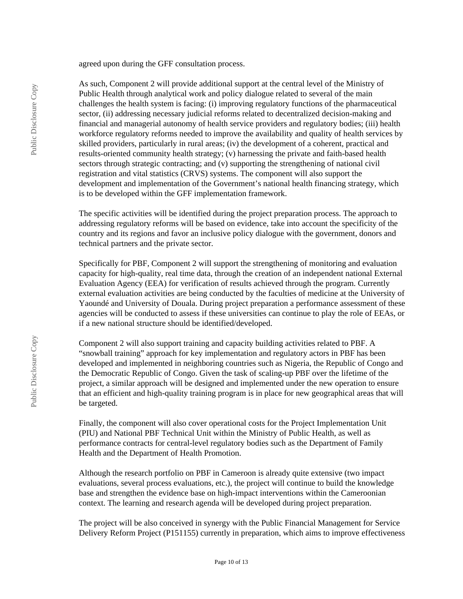agreed upon during the GFF consultation process.

As such, Component 2 will provide additional support at the central level of the Ministry of Public Health through analytical work and policy dialogue related to several of the main challenges the health system is facing: (i) improving regulatory functions of the pharmaceutical sector, (ii) addressing necessary judicial reforms related to decentralized decision-making and financial and managerial autonomy of health service providers and regulatory bodies; (iii) health workforce regulatory reforms needed to improve the availability and quality of health services by skilled providers, particularly in rural areas; (iv) the development of a coherent, practical and results-oriented community health strategy; (v) harnessing the private and faith-based health sectors through strategic contracting; and (v) supporting the strengthening of national civil registration and vital statistics (CRVS) systems. The component will also support the development and implementation of the Government's national health financing strategy, which is to be developed within the GFF implementation framework.

The specific activities will be identified during the project preparation process. The approach to addressing regulatory reforms will be based on evidence, take into account the specificity of the country and its regions and favor an inclusive policy dialogue with the government, donors and technical partners and the private sector.

Specifically for PBF, Component 2 will support the strengthening of monitoring and evaluation capacity for high-quality, real time data, through the creation of an independent national External Evaluation Agency (EEA) for verification of results achieved through the program. Currently external evaluation activities are being conducted by the faculties of medicine at the University of Yaoundé and University of Douala. During project preparation a performance assessment of these agencies will be conducted to assess if these universities can continue to play the role of EEAs, or if a new national structure should be identified/developed.

Component 2 will also support training and capacity building activities related to PBF. A "snowball training" approach for key implementation and regulatory actors in PBF has been developed and implemented in neighboring countries such as Nigeria, the Republic of Congo and the Democratic Republic of Congo. Given the task of scaling-up PBF over the lifetime of the project, a similar approach will be designed and implemented under the new operation to ensure that an efficient and high-quality training program is in place for new geographical areas that will be targeted.

Finally, the component will also cover operational costs for the Project Implementation Unit (PIU) and National PBF Technical Unit within the Ministry of Public Health, as well as performance contracts for central-level regulatory bodies such as the Department of Family Health and the Department of Health Promotion.

Although the research portfolio on PBF in Cameroon is already quite extensive (two impact evaluations, several process evaluations, etc.), the project will continue to build the knowledge base and strengthen the evidence base on high-impact interventions within the Cameroonian context. The learning and research agenda will be developed during project preparation.

The project will be also conceived in synergy with the Public Financial Management for Service Delivery Reform Project (P151155) currently in preparation, which aims to improve effectiveness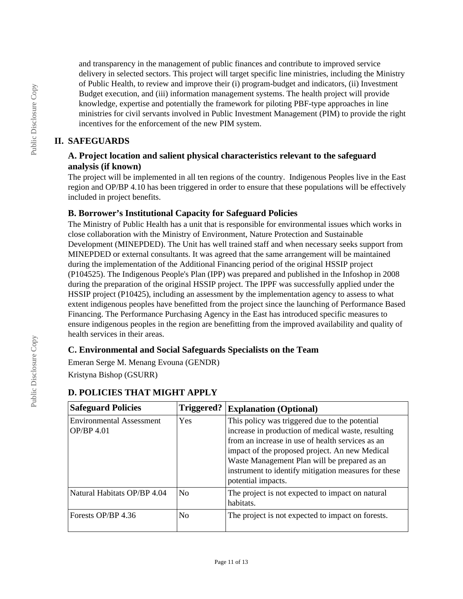and transparency in the management of public finances and contribute to improved service delivery in selected sectors. This project will target specific line ministries, including the Ministry of Public Health, to review and improve their (i) program-budget and indicators, (ii) Investment Budget execution, and (iii) information management systems. The health project will provide knowledge, expertise and potentially the framework for piloting PBF-type approaches in line ministries for civil servants involved in Public Investment Management (PIM) to provide the right incentives for the enforcement of the new PIM system.

# **II. SAFEGUARDS**

# **A. Project location and salient physical characteristics relevant to the safeguard analysis (if known)**

The project will be implemented in all ten regions of the country. Indigenous Peoples live in the East region and OP/BP 4.10 has been triggered in order to ensure that these populations will be effectively included in project benefits.

# **B. Borrower's Institutional Capacity for Safeguard Policies**

The Ministry of Public Health has a unit that is responsible for environmental issues which works in close collaboration with the Ministry of Environment, Nature Protection and Sustainable Development (MINEPDED). The Unit has well trained staff and when necessary seeks support from MINEPDED or external consultants. It was agreed that the same arrangement will be maintained during the implementation of the Additional Financing period of the original HSSIP project (P104525). The Indigenous People's Plan (IPP) was prepared and published in the Infoshop in 2008 during the preparation of the original HSSIP project. The IPPF was successfully applied under the HSSIP project (P10425), including an assessment by the implementation agency to assess to what extent indigenous peoples have benefitted from the project since the launching of Performance Based Financing. The Performance Purchasing Agency in the East has introduced specific measures to ensure indigenous peoples in the region are benefitting from the improved availability and quality of health services in their areas.

# **C. Environmental and Social Safeguards Specialists on the Team**

Emeran Serge M. Menang Evouna (GENDR)

Kristyna Bishop (GSURR)

| <b>Safeguard Policies</b>                     | Triggered?     | <b>Explanation (Optional)</b>                                                                                                                                                                                                                                                                                                            |  |
|-----------------------------------------------|----------------|------------------------------------------------------------------------------------------------------------------------------------------------------------------------------------------------------------------------------------------------------------------------------------------------------------------------------------------|--|
| <b>Environmental Assessment</b><br>OP/BP 4.01 | Yes            | This policy was triggered due to the potential<br>increase in production of medical waste, resulting<br>from an increase in use of health services as an<br>impact of the proposed project. An new Medical<br>Waste Management Plan will be prepared as an<br>instrument to identify mitigation measures for these<br>potential impacts. |  |
| Natural Habitats OP/BP 4.04                   | N <sub>0</sub> | The project is not expected to impact on natural<br>habitats.                                                                                                                                                                                                                                                                            |  |
| Forests OP/BP 4.36<br>No                      |                | The project is not expected to impact on forests.                                                                                                                                                                                                                                                                                        |  |

# **D. POLICIES THAT MIGHT APPLY**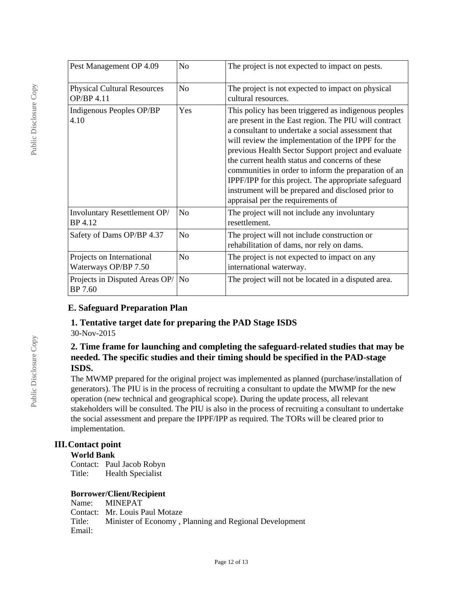| Pest Management OP 4.09                           | No             | The project is not expected to impact on pests.                                                                                                                                                                                                                                                                                                                                                                                                                                                                                                |  |
|---------------------------------------------------|----------------|------------------------------------------------------------------------------------------------------------------------------------------------------------------------------------------------------------------------------------------------------------------------------------------------------------------------------------------------------------------------------------------------------------------------------------------------------------------------------------------------------------------------------------------------|--|
| <b>Physical Cultural Resources</b><br>OP/BP 4.11  | N <sub>o</sub> | The project is not expected to impact on physical<br>cultural resources.                                                                                                                                                                                                                                                                                                                                                                                                                                                                       |  |
| Indigenous Peoples OP/BP<br>4.10                  | Yes            | This policy has been triggered as indigenous peoples<br>are present in the East region. The PIU will contract<br>a consultant to undertake a social assessment that<br>will review the implementation of the IPPF for the<br>previous Health Sector Support project and evaluate<br>the current health status and concerns of these<br>communities in order to inform the preparation of an<br>IPPF/IPP for this project. The appropriate safeguard<br>instrument will be prepared and disclosed prior to<br>appraisal per the requirements of |  |
| Involuntary Resettlement OP/<br>BP 4.12           | N <sub>o</sub> | The project will not include any involuntary<br>resettlement.                                                                                                                                                                                                                                                                                                                                                                                                                                                                                  |  |
| Safety of Dams OP/BP 4.37                         | N <sub>o</sub> | The project will not include construction or<br>rehabilitation of dams, nor rely on dams.                                                                                                                                                                                                                                                                                                                                                                                                                                                      |  |
| Projects on International<br>Waterways OP/BP 7.50 | N <sub>o</sub> | The project is not expected to impact on any<br>international waterway.                                                                                                                                                                                                                                                                                                                                                                                                                                                                        |  |
| Projects in Disputed Areas OP/<br>BP 7.60         | No             | The project will not be located in a disputed area.                                                                                                                                                                                                                                                                                                                                                                                                                                                                                            |  |

# **E. Safeguard Preparation Plan**

### **1. Tentative target date for preparing the PAD Stage ISDS** 30-Nov-2015

## **2. Time frame for launching and completing the safeguard-related studies that may be needed. The specific studies and their timing should be specified in the PAD-stage ISDS.**

The MWMP prepared for the original project was implemented as planned (purchase/installation of generators). The PIU is in the process of recruiting a consultant to update the MWMP for the new operation (new technical and geographical scope). During the update process, all relevant stakeholders will be consulted. The PIU is also in the process of recruiting a consultant to undertake the social assessment and prepare the IPPF/IPP as required. The TORs will be cleared prior to implementation.

## **III.Contact point**

## **World Bank**

Contact: Paul Jacob Robyn Title: Health Specialist

## **Borrower/Client/Recipient**

Name: MINEPAT Contact: Mr. Louis Paul Motaze Title: Minister of Economy , Planning and Regional Development Email: